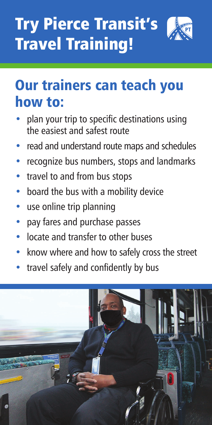## Try Pierce Transit's Travel Training!



## Our trainers can teach you how to:

- plan your trip to specific destinations using the easiest and safest route
- read and understand route maps and schedules
- recognize bus numbers, stops and landmarks
- travel to and from bus stops
- board the bus with a mobility device
- use online trip planning
- pay fares and purchase passes
- locate and transfer to other buses
- know where and how to safely cross the street
- travel safely and confidently by bus